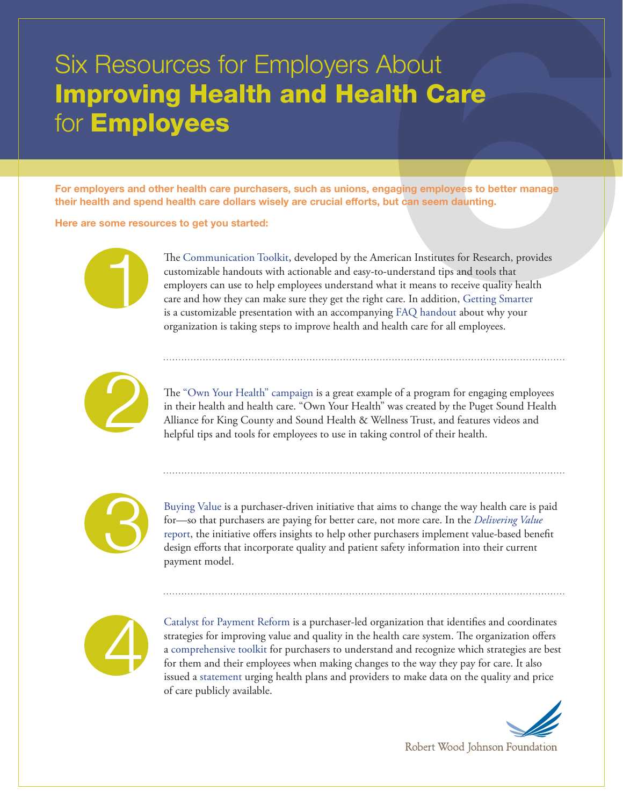## Resources for Employers About<br> **Toving Health and Health Care**<br> **Imployees**<br> **Imployees**<br> **Imployees**<br> **IMPLOYEES**<br> **IMPLOYEES**<br>
And spend health care purchasers, such as unions, angaging employees to better manage<br>
And sp Six Resources for Employers About Improving Health and Health Care for **Employees**

For employers and other health care purchasers, such as unions, engaging employees to better manage their health and spend health care dollars wisely are crucial efforts, but can seem daunting.

Here are some resources to get you started:



The [Communication Toolkit,](http://www.helpyouremployeeshealth.com/) developed by the American Institutes for Research, provides customizable handouts with actionable and easy-to-understand tips and tools that employers can use to help employees understand what it means to receive quality health care and how they can make sure they get the right care. In addition, Getting Smarter is a customizable presentation with an accompanying FAQ handout about why your organization is taking steps to improve health and health care for all employees.



The ["Own Your Health" campaign](http://www.wacommunitycheckup.org/ownyourhealth/) is a great example of a program for engaging employees in their health and health care. "Own Your Health" was created by the Puget Sound Health Alliance for King County and Sound Health & Wellness Trust, and features videos and helpful tips and tools for employees to use in taking control of their health.



[Buying Value](http://www.buyingvalue.org/) is a purchaser-driven initiative that aims to change the way health care is paid for—so that purchasers are paying for better care, not more care. In the *[Delivering Value](http://www.buyingvalue.org/wp-content/uploads/2012/07/Buying-Value-Value-Based-Report.pdf)* [report](http://www.buyingvalue.org/wp-content/uploads/2012/07/Buying-Value-Value-Based-Report.pdf), the initiative offers insights to help other purchasers implement value-based benefit design efforts that incorporate quality and patient safety information into their current payment model.



[Catalyst for Payment Reform](http://www.catalyzepaymentreform.org/) is a purchaser-led organization that identifies and coordinates strategies for improving value and quality in the health care system. The organization offers a [comprehensive toolkit](http://www.catalyzepaymentreform.org/Payment_Reform_Toolkit.html) for purchasers to understand and recognize which strategies are best for them and their employees when making changes to the way they pay for care. It also issued a [statement](http://catalyzepaymentreform.org/Transparency_Statement.html) urging health plans and providers to make data on the quality and price of care publicly available.



Robert Wood Johnson Foundation